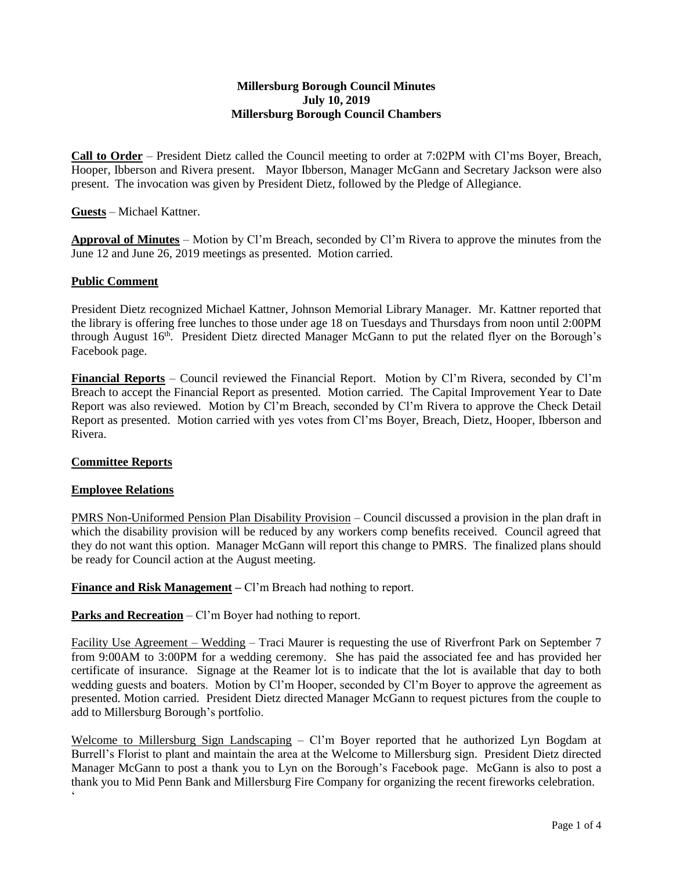## **Millersburg Borough Council Minutes July 10, 2019 Millersburg Borough Council Chambers**

**Call to Order** – President Dietz called the Council meeting to order at 7:02PM with Cl'ms Boyer, Breach, Hooper, Ibberson and Rivera present. Mayor Ibberson, Manager McGann and Secretary Jackson were also present. The invocation was given by President Dietz, followed by the Pledge of Allegiance.

**Guests** – Michael Kattner.

**Approval of Minutes** – Motion by Cl'm Breach, seconded by Cl'm Rivera to approve the minutes from the June 12 and June 26, 2019 meetings as presented. Motion carried.

## **Public Comment**

President Dietz recognized Michael Kattner, Johnson Memorial Library Manager. Mr. Kattner reported that the library is offering free lunches to those under age 18 on Tuesdays and Thursdays from noon until 2:00PM through August 16<sup>th</sup>. President Dietz directed Manager McGann to put the related flyer on the Borough's Facebook page.

**Financial Reports** – Council reviewed the Financial Report. Motion by Cl'm Rivera, seconded by Cl'm Breach to accept the Financial Report as presented. Motion carried. The Capital Improvement Year to Date Report was also reviewed. Motion by Cl'm Breach, seconded by Cl'm Rivera to approve the Check Detail Report as presented. Motion carried with yes votes from Cl'ms Boyer, Breach, Dietz, Hooper, Ibberson and Rivera.

### **Committee Reports**

### **Employee Relations**

PMRS Non-Uniformed Pension Plan Disability Provision – Council discussed a provision in the plan draft in which the disability provision will be reduced by any workers comp benefits received. Council agreed that they do not want this option. Manager McGann will report this change to PMRS. The finalized plans should be ready for Council action at the August meeting.

**Finance and Risk Management –** Cl'm Breach had nothing to report.

**Parks and Recreation** – Cl'm Boyer had nothing to report.

Facility Use Agreement – Wedding – Traci Maurer is requesting the use of Riverfront Park on September 7 from 9:00AM to 3:00PM for a wedding ceremony. She has paid the associated fee and has provided her certificate of insurance. Signage at the Reamer lot is to indicate that the lot is available that day to both wedding guests and boaters. Motion by Cl'm Hooper, seconded by Cl'm Boyer to approve the agreement as presented. Motion carried. President Dietz directed Manager McGann to request pictures from the couple to add to Millersburg Borough's portfolio.

Welcome to Millersburg Sign Landscaping – Cl'm Boyer reported that he authorized Lyn Bogdam at Burrell's Florist to plant and maintain the area at the Welcome to Millersburg sign. President Dietz directed Manager McGann to post a thank you to Lyn on the Borough's Facebook page. McGann is also to post a thank you to Mid Penn Bank and Millersburg Fire Company for organizing the recent fireworks celebration.  $\ddot{\phantom{0}}$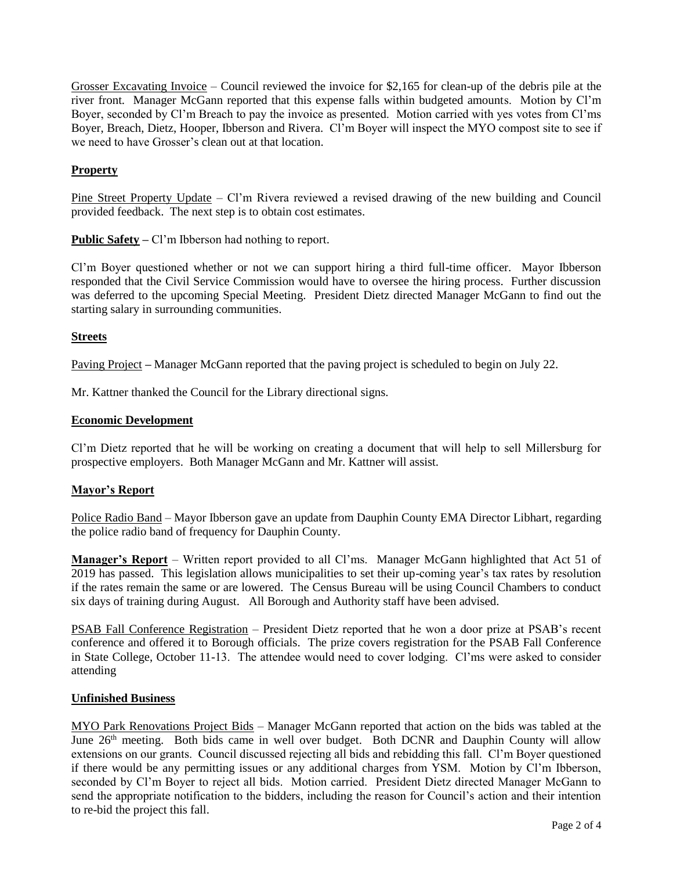Grosser Excavating Invoice – Council reviewed the invoice for \$2,165 for clean-up of the debris pile at the river front. Manager McGann reported that this expense falls within budgeted amounts. Motion by Cl'm Boyer, seconded by Cl'm Breach to pay the invoice as presented. Motion carried with yes votes from Cl'ms Boyer, Breach, Dietz, Hooper, Ibberson and Rivera. Cl'm Boyer will inspect the MYO compost site to see if we need to have Grosser's clean out at that location.

# **Property**

Pine Street Property Update – Cl'm Rivera reviewed a revised drawing of the new building and Council provided feedback. The next step is to obtain cost estimates.

**Public Safety –** Cl'm Ibberson had nothing to report.

Cl'm Boyer questioned whether or not we can support hiring a third full-time officer. Mayor Ibberson responded that the Civil Service Commission would have to oversee the hiring process. Further discussion was deferred to the upcoming Special Meeting. President Dietz directed Manager McGann to find out the starting salary in surrounding communities.

## **Streets**

Paving Project **–** Manager McGann reported that the paving project is scheduled to begin on July 22.

Mr. Kattner thanked the Council for the Library directional signs.

## **Economic Development**

Cl'm Dietz reported that he will be working on creating a document that will help to sell Millersburg for prospective employers. Both Manager McGann and Mr. Kattner will assist.

## **Mayor's Report**

Police Radio Band – Mayor Ibberson gave an update from Dauphin County EMA Director Libhart, regarding the police radio band of frequency for Dauphin County.

**Manager's Report** – Written report provided to all Cl'ms. Manager McGann highlighted that Act 51 of 2019 has passed. This legislation allows municipalities to set their up-coming year's tax rates by resolution if the rates remain the same or are lowered. The Census Bureau will be using Council Chambers to conduct six days of training during August. All Borough and Authority staff have been advised.

PSAB Fall Conference Registration – President Dietz reported that he won a door prize at PSAB's recent conference and offered it to Borough officials. The prize covers registration for the PSAB Fall Conference in State College, October 11-13. The attendee would need to cover lodging. Cl'ms were asked to consider attending

### **Unfinished Business**

MYO Park Renovations Project Bids – Manager McGann reported that action on the bids was tabled at the June 26<sup>th</sup> meeting. Both bids came in well over budget. Both DCNR and Dauphin County will allow extensions on our grants. Council discussed rejecting all bids and rebidding this fall. Cl'm Boyer questioned if there would be any permitting issues or any additional charges from YSM. Motion by Cl'm Ibberson, seconded by Cl'm Boyer to reject all bids. Motion carried. President Dietz directed Manager McGann to send the appropriate notification to the bidders, including the reason for Council's action and their intention to re-bid the project this fall.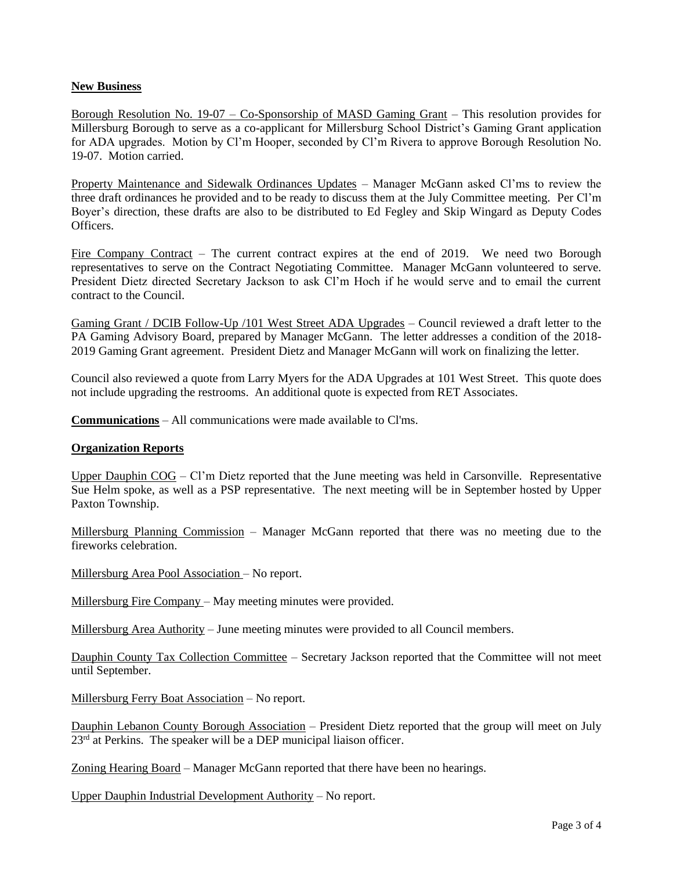## **New Business**

Borough Resolution No. 19-07 – Co-Sponsorship of MASD Gaming Grant – This resolution provides for Millersburg Borough to serve as a co-applicant for Millersburg School District's Gaming Grant application for ADA upgrades. Motion by Cl'm Hooper, seconded by Cl'm Rivera to approve Borough Resolution No. 19-07. Motion carried.

Property Maintenance and Sidewalk Ordinances Updates – Manager McGann asked Cl'ms to review the three draft ordinances he provided and to be ready to discuss them at the July Committee meeting. Per Cl'm Boyer's direction, these drafts are also to be distributed to Ed Fegley and Skip Wingard as Deputy Codes Officers.

Fire Company Contract – The current contract expires at the end of 2019. We need two Borough representatives to serve on the Contract Negotiating Committee. Manager McGann volunteered to serve. President Dietz directed Secretary Jackson to ask Cl'm Hoch if he would serve and to email the current contract to the Council.

Gaming Grant / DCIB Follow-Up /101 West Street ADA Upgrades – Council reviewed a draft letter to the PA Gaming Advisory Board, prepared by Manager McGann. The letter addresses a condition of the 2018- 2019 Gaming Grant agreement. President Dietz and Manager McGann will work on finalizing the letter.

Council also reviewed a quote from Larry Myers for the ADA Upgrades at 101 West Street. This quote does not include upgrading the restrooms. An additional quote is expected from RET Associates.

**Communications** – All communications were made available to Cl'ms.

### **Organization Reports**

Upper Dauphin COG – Cl'm Dietz reported that the June meeting was held in Carsonville. Representative Sue Helm spoke, as well as a PSP representative. The next meeting will be in September hosted by Upper Paxton Township.

Millersburg Planning Commission – Manager McGann reported that there was no meeting due to the fireworks celebration.

Millersburg Area Pool Association – No report.

Millersburg Fire Company – May meeting minutes were provided.

Millersburg Area Authority – June meeting minutes were provided to all Council members.

Dauphin County Tax Collection Committee – Secretary Jackson reported that the Committee will not meet until September.

Millersburg Ferry Boat Association – No report.

Dauphin Lebanon County Borough Association - President Dietz reported that the group will meet on July  $23<sup>rd</sup>$  at Perkins. The speaker will be a DEP municipal liaison officer.

Zoning Hearing Board – Manager McGann reported that there have been no hearings.

Upper Dauphin Industrial Development Authority – No report.